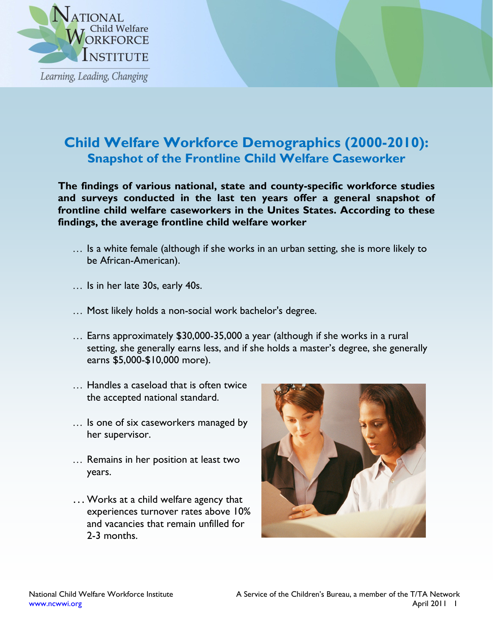

## **Child Welfare Workforce Demographics (2000-2010): Snapshot of the Frontline Child Welfare Caseworker**

**The findings of various national, state and county-specific workforce studies and surveys conducted in the last ten years offer a general snapshot of frontline child welfare caseworkers in the Unites States. According to these findings, the average frontline child welfare worker** 

- … Is a white female (although if she works in an urban setting, she is more likely to be African-American).
- … Is in her late 30s, early 40s.
- … Most likely holds a non-social work bachelor's degree.
- … Earns approximately \$30,000-35,000 a year (although if she works in a rural setting, she generally earns less, and if she holds a master's degree, she generally earns \$5,000-\$10,000 more).
- … Handles a caseload that is often twice the accepted national standard.
- … Is one of six caseworkers managed by her supervisor.
- … Remains in her position at least two years.
- …Works at a child welfare agency that experiences turnover rates above 10% and vacancies that remain unfilled for 2-3 months.

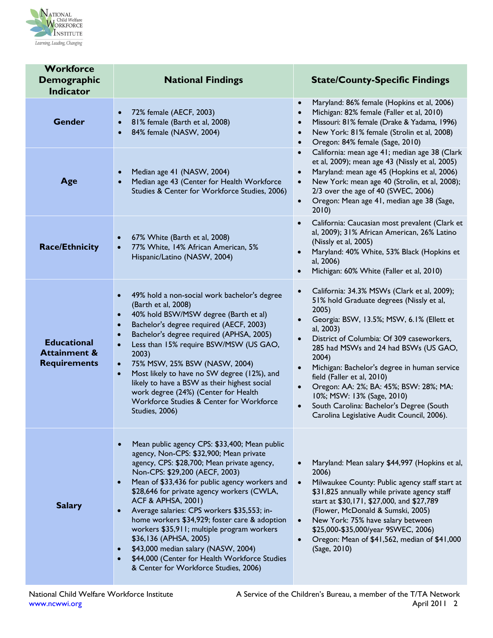

| <b>Workforce</b><br><b>Demographic</b><br>Indicator                  | <b>National Findings</b>                                                                                                                                                                                                                                                                                                                                                                                                                                                                                                                                                                                                                                                | <b>State/County-Specific Findings</b>                                                                                                                                                                                                                                                                                                                                                                                                                                                                                                                                      |
|----------------------------------------------------------------------|-------------------------------------------------------------------------------------------------------------------------------------------------------------------------------------------------------------------------------------------------------------------------------------------------------------------------------------------------------------------------------------------------------------------------------------------------------------------------------------------------------------------------------------------------------------------------------------------------------------------------------------------------------------------------|----------------------------------------------------------------------------------------------------------------------------------------------------------------------------------------------------------------------------------------------------------------------------------------------------------------------------------------------------------------------------------------------------------------------------------------------------------------------------------------------------------------------------------------------------------------------------|
| <b>Gender</b>                                                        | 72% female (AECF, 2003)<br>$\bullet$<br>81% female (Barth et al, 2008)<br>84% female (NASW, 2004)                                                                                                                                                                                                                                                                                                                                                                                                                                                                                                                                                                       | Maryland: 86% female (Hopkins et al, 2006)<br>$\bullet$<br>Michigan: 82% female (Faller et al, 2010)<br>$\bullet$<br>Missouri: 81% female (Drake & Yadama, 1996)<br>$\bullet$<br>New York: 81% female (Strolin et al, 2008)<br>$\bullet$<br>Oregon: 84% female (Sage, 2010)<br>$\bullet$                                                                                                                                                                                                                                                                                   |
| Age                                                                  | Median age 41 (NASW, 2004)<br>Median age 43 (Center for Health Workforce<br>Studies & Center for Workforce Studies, 2006)                                                                                                                                                                                                                                                                                                                                                                                                                                                                                                                                               | California: mean age 41; median age 38 (Clark<br>$\bullet$<br>et al, 2009); mean age 43 (Nissly et al, 2005)<br>Maryland: mean age 45 (Hopkins et al, 2006)<br>$\bullet$<br>New York: mean age 40 (Strolin, et al, 2008);<br>$\bullet$<br>2/3 over the age of 40 (SWEC, 2006)<br>Oregon: Mean age 41, median age 38 (Sage,<br>$\bullet$<br>2010                                                                                                                                                                                                                            |
| <b>Race/Ethnicity</b>                                                | 67% White (Barth et al, 2008)<br>$\bullet$<br>77% White, 14% African American, 5%<br>Hispanic/Latino (NASW, 2004)                                                                                                                                                                                                                                                                                                                                                                                                                                                                                                                                                       | California: Caucasian most prevalent (Clark et<br>$\bullet$<br>al, 2009); 31% African American, 26% Latino<br>(Nissly et al, 2005)<br>Maryland: 40% White, 53% Black (Hopkins et<br>al, 2006)<br>Michigan: 60% White (Faller et al, 2010)                                                                                                                                                                                                                                                                                                                                  |
| <b>Educational</b><br><b>Attainment &amp;</b><br><b>Requirements</b> | 49% hold a non-social work bachelor's degree<br>$\bullet$<br>(Barth et al, 2008)<br>40% hold BSW/MSW degree (Barth et al)<br>$\bullet$<br>Bachelor's degree required (AECF, 2003)<br>$\bullet$<br>Bachelor's degree required (APHSA, 2005)<br>$\bullet$<br>Less than 15% require BSW/MSW (US GAO,<br>$\bullet$<br>2003)<br>75% MSW, 25% BSW (NASW, 2004)<br>$\bullet$<br>Most likely to have no SW degree (12%), and<br>$\bullet$<br>likely to have a BSW as their highest social<br>work degree (24%) (Center for Health<br>Workforce Studies & Center for Workforce<br>Studies, 2006)                                                                                 | California: 34.3% MSWs (Clark et al, 2009);<br>$\bullet$<br>51% hold Graduate degrees (Nissly et al,<br>2005)<br>Georgia: BSW, 13.5%; MSW, 6.1% (Ellett et<br>al, 2003)<br>District of Columbia: Of 309 caseworkers,<br>$\bullet$<br>285 had MSWs and 24 had BSWs (US GAO,<br>2004)<br>Michigan: Bachelor's degree in human service<br>$\bullet$<br>field (Faller et al, 2010)<br>Oregon: AA: 2%; BA: 45%; BSW: 28%; MA:<br>$\bullet$<br>10%; MSW: 13% (Sage, 2010)<br>South Carolina: Bachelor's Degree (South<br>$\bullet$<br>Carolina Legislative Audit Council, 2006). |
| <b>Salary</b>                                                        | Mean public agency CPS: \$33,400; Mean public<br>agency, Non-CPS: \$32,900; Mean private<br>agency, CPS: \$28,700; Mean private agency,<br>Non-CPS: \$29,200 (AECF, 2003)<br>Mean of \$33,436 for public agency workers and<br>$\bullet$<br>\$28,646 for private agency workers (CWLA,<br><b>ACF &amp; APHSA, 2001)</b><br>Average salaries: CPS workers \$35,553; in-<br>$\bullet$<br>home workers \$34,929; foster care & adoption<br>workers \$35,911; multiple program workers<br>\$36,136 (APHSA, 2005)<br>\$43,000 median salary (NASW, 2004)<br>$\bullet$<br>\$44,000 (Center for Health Workforce Studies<br>$\bullet$<br>& Center for Workforce Studies, 2006) | Maryland: Mean salary \$44,997 (Hopkins et al,<br>$\bullet$<br>2006)<br>Milwaukee County: Public agency staff start at<br>$\bullet$<br>\$31,825 annually while private agency staff<br>start at \$30,171, \$27,000, and \$27,789<br>(Flower, McDonald & Sumski, 2005)<br>New York: 75% have salary between<br>$\bullet$<br>\$25,000-\$35,000/year 9SWEC, 2006)<br>Oregon: Mean of \$41,562, median of \$41,000<br>$\bullet$<br>(Sage, 2010)                                                                                                                                |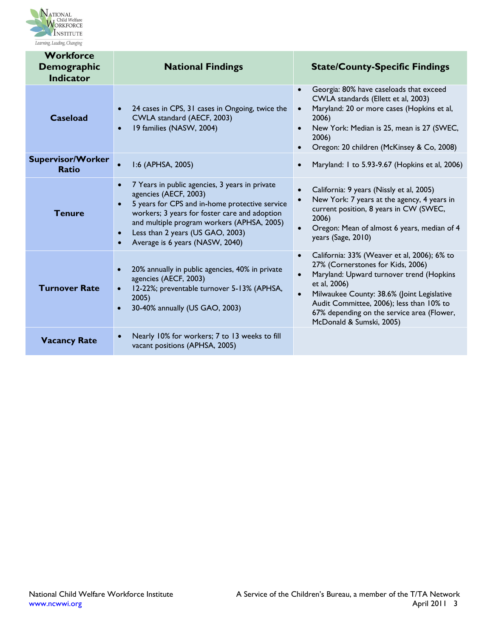

| <b>Workforce</b><br>Demographic<br><b>Indicator</b> | <b>National Findings</b>                                                                                                                                                                                                                                                                                     | <b>State/County-Specific Findings</b>                                                                                                                                                                                                                                                                                                                   |
|-----------------------------------------------------|--------------------------------------------------------------------------------------------------------------------------------------------------------------------------------------------------------------------------------------------------------------------------------------------------------------|---------------------------------------------------------------------------------------------------------------------------------------------------------------------------------------------------------------------------------------------------------------------------------------------------------------------------------------------------------|
| <b>Caseload</b>                                     | 24 cases in CPS, 31 cases in Ongoing, twice the<br>CWLA standard (AECF, 2003)<br>19 families (NASW, 2004)                                                                                                                                                                                                    | Georgia: 80% have caseloads that exceed<br>$\bullet$<br>CWLA standards (Ellett et al, 2003)<br>Maryland: 20 or more cases (Hopkins et al,<br>$\bullet$<br>2006)<br>New York: Median is 25, mean is 27 (SWEC,<br>2006)<br>Oregon: 20 children (McKinsey & Co, 2008)                                                                                      |
| <b>Supervisor/Worker</b><br><b>Ratio</b>            | I:6 (APHSA, 2005)<br>$\bullet$                                                                                                                                                                                                                                                                               | Maryland: 1 to 5.93-9.67 (Hopkins et al, 2006)<br>$\bullet$                                                                                                                                                                                                                                                                                             |
| <b>Tenure</b>                                       | 7 Years in public agencies, 3 years in private<br>agencies (AECF, 2003)<br>5 years for CPS and in-home protective service<br>$\bullet$<br>workers; 3 years for foster care and adoption<br>and multiple program workers (APHSA, 2005)<br>Less than 2 years (US GAO, 2003)<br>Average is 6 years (NASW, 2040) | California: 9 years (Nissly et al, 2005)<br>$\bullet$<br>New York: 7 years at the agency, 4 years in<br>$\bullet$<br>current position, 8 years in CW (SWEC,<br>2006)<br>Oregon: Mean of almost 6 years, median of 4<br>$\bullet$<br>years (Sage, 2010)                                                                                                  |
| <b>Turnover Rate</b>                                | 20% annually in public agencies, 40% in private<br>$\bullet$<br>agencies (AECF, 2003)<br>12-22%; preventable turnover 5-13% (APHSA,<br>2005)<br>30-40% annually (US GAO, 2003)                                                                                                                               | California: 33% (Weaver et al, 2006); 6% to<br>$\bullet$<br>27% (Cornerstones for Kids, 2006)<br>Maryland: Upward turnover trend (Hopkins<br>$\bullet$<br>et al, 2006)<br>Milwaukee County: 38.6% (Joint Legislative<br>$\bullet$<br>Audit Committee, 2006); less than 10% to<br>67% depending on the service area (Flower,<br>McDonald & Sumski, 2005) |
| <b>Vacancy Rate</b>                                 | Nearly 10% for workers; 7 to 13 weeks to fill<br>vacant positions (APHSA, 2005)                                                                                                                                                                                                                              |                                                                                                                                                                                                                                                                                                                                                         |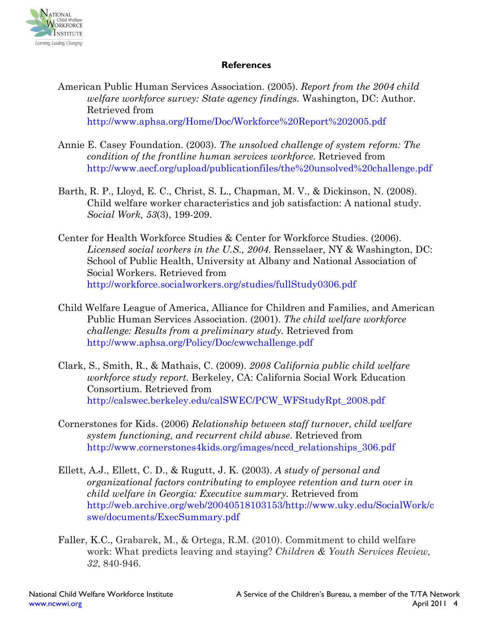

## **References**

- American Public Human Services Association. (2005). *Report from the 2004 child welfare workforce survey: State agency findings.* Washington, DC: Author. Retrieved from http://www.aphsa.org/Home/Doc/Workforce%20Report%202005.pdf
- Annie E. Casey Foundation. (2003). *The unsolved challenge of system reform: The condition of the frontline human services workforce.* Retrieved from http://www.aecf.org/upload/publicationfiles/the%20unsolved%20challenge.pdf
- Barth, R. P., Lloyd, E. C., Christ, S. L., Chapman, M. V., & Dickinson, N. (2008). Child welfare worker characteristics and job satisfaction: A national study. *Social Work, 53*(3), 199-209.
- Center for Health Workforce Studies & Center for Workforce Studies. (2006). *Licensed social workers in the U.S., 2004.* Rensselaer, NY & Washington, DC: School of Public Health, University at Albany and National Association of Social Workers. Retrieved from http://workforce.socialworkers.org/studies/fullStudy0306.pdf
- Child Welfare League of America, Alliance for Children and Families, and American Public Human Services Association. (2001). *The child welfare workforce challenge: Results from a preliminary study.* Retrieved from http://www.aphsa.org/Policy/Doc/cwwchallenge.pdf
- Clark, S., Smith, R., & Mathais, C. (2009). *2008 California public child welfare workforce study report.* Berkeley, CA: California Social Work Education Consortium. Retrieved from http://calswec.berkeley.edu/calSWEC/PCW\_WFStudyRpt\_2008.pdf
- Cornerstones for Kids. (2006) *Relationship between staff turnover, child welfare system functioning, and recurrent child abuse*. Retrieved from http://www.cornerstones4kids.org/images/nccd\_relationships\_306.pdf
- Ellett, A.J., Ellett, C. D., & Rugutt, J. K. (2003). *A study of personal and organizational factors contributing to employee retention and turn over in child welfare in Georgia: Executive summary.* Retrieved from http://web.archive.org/web/20040518103153/http://www.uky.edu/SocialWork/c swe/documents/ExecSummary.pdf
- Faller, K.C., Grabarek, M., & Ortega, R.M. (2010). Commitment to child welfare work: What predicts leaving and staying? *Children & Youth Services Review, 32*, 840-946.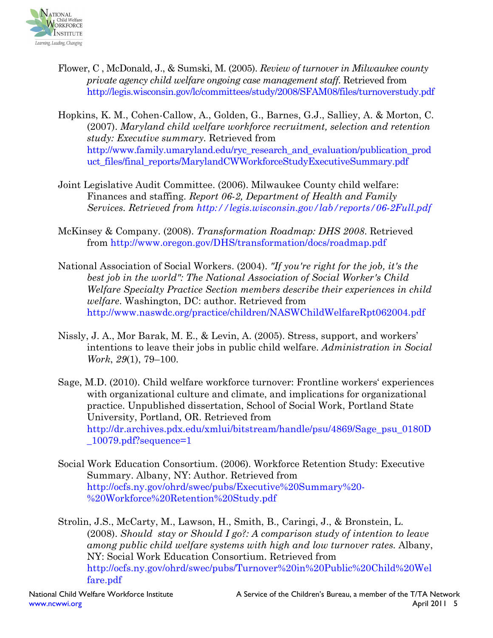

- Flower, C , McDonald, J., & Sumski, M. (2005). *Review of turnover in Milwaukee county private agency child welfare ongoing case management staff.* Retrieved from http://legis.wisconsin.gov/lc/committees/study/2008/SFAM08/files/turnoverstudy.pdf
- Hopkins, K. M., Cohen-Callow, A., Golden, G., Barnes, G.J., Salliey, A. & Morton, C. (2007). *Maryland child welfare workforce recruitment, selection and retention study: Executive summary.* Retrieved from http://www.family.umaryland.edu/ryc\_research\_and\_evaluation/publication\_prod uct\_files/final\_reports/MarylandCWWorkforceStudyExecutiveSummary.pdf
- Joint Legislative Audit Committee. (2006). Milwaukee County child welfare: Finances and staffing. *Report 06-2, Department of Health and Family Services. Retrieved from http://legis.wisconsin.gov/lab/reports/06-2Full.pdf*
- McKinsey & Company. (2008). *Transformation Roadmap: DHS 2008*. Retrieved from http://www.oregon.gov/DHS/transformation/docs/roadmap.pdf
- National Association of Social Workers. (2004). *"If you're right for the job, it's the best job in the world": The National Association of Social Worker's Child Welfare Specialty Practice Section members describe their experiences in child welfare*. Washington, DC: author. Retrieved from http://www.naswdc.org/practice/children/NASWChildWelfareRpt062004.pdf
- Nissly, J. A., Mor Barak, M. E., & Levin, A. (2005). Stress, support, and workers' intentions to leave their jobs in public child welfare. *Administration in Social Work*, *29*(1), 79–100.
- Sage, M.D. (2010). Child welfare workforce turnover: Frontline workers' experiences with organizational culture and climate, and implications for organizational practice. Unpublished dissertation, School of Social Work, Portland State University, Portland, OR. Retrieved from http://dr.archives.pdx.edu/xmlui/bitstream/handle/psu/4869/Sage\_psu\_0180D  $\_10079$ .pdf?sequence=1
- Social Work Education Consortium. (2006). Workforce Retention Study: Executive Summary. Albany, NY: Author. Retrieved from http://ocfs.ny.gov/ohrd/swec/pubs/Executive%20Summary%20- %20Workforce%20Retention%20Study.pdf

Strolin, J.S., McCarty, M., Lawson, H., Smith, B., Caringi, J., & Bronstein, L. (2008). *Should stay or Should I go?: A comparison study of intention to leave among public child welfare systems with high and low turnover rates.* Albany, NY: Social Work Education Consortium. Retrieved from http://ocfs.ny.gov/ohrd/swec/pubs/Turnover%20in%20Public%20Child%20Wel fare.pdf